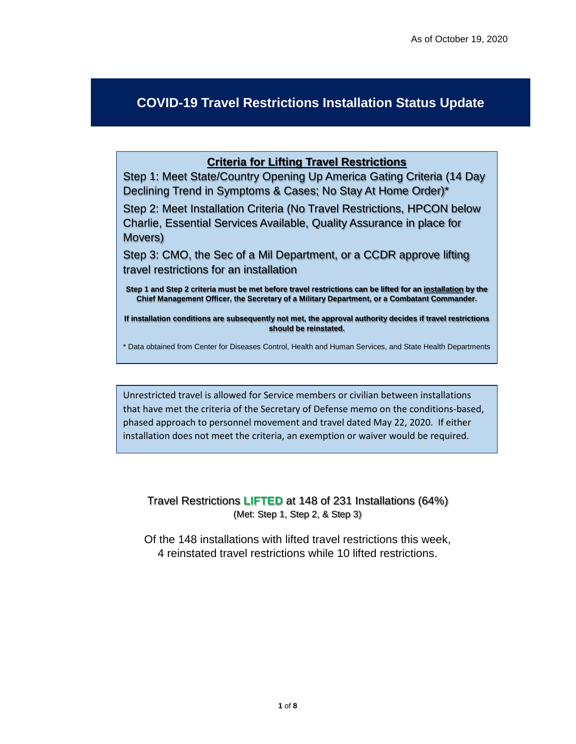## **COVID-19 Travel Restrictions Installation Status Update**

## **Criteria for Lifting Travel Restrictions**

Step 1: Meet State/Country Opening Up America Gating Criteria (14 Day Declining Trend in Symptoms & Cases; No Stay At Home Order)\*

Step 2: Meet Installation Criteria (No Travel Restrictions, HPCON below Charlie, Essential Services Available, Quality Assurance in place for Movers)

Step 3: CMO, the Sec of a Mil Department, or a CCDR approve lifting travel restrictions for an installation

**Step 1 and Step 2 criteria must be met before travel restrictions can be lifted for an installation by the Chief Management Officer, the Secretary of a Military Department, or a Combatant Commander.** 

**If installation conditions are subsequently not met, the approval authority decides if travel restrictions should be reinstated.** 

\* Data obtained from Center for Diseases Control, Health and Human Services, and State Health Departments

Unrestricted travel is allowed for Service members or civilian between installations that have met the criteria of the Secretary of Defense memo on the conditions-based, phased approach to personnel movement and travel dated May 22, 2020. If either installation does not meet the criteria, an exemption or waiver would be required.

Travel Restrictions **LIFTED** at 148 of 231 Installations (64%) (Met: Step 1, Step 2, & Step 3)

Of the 148 installations with lifted travel restrictions this week, 4 reinstated travel restrictions while 10 lifted restrictions.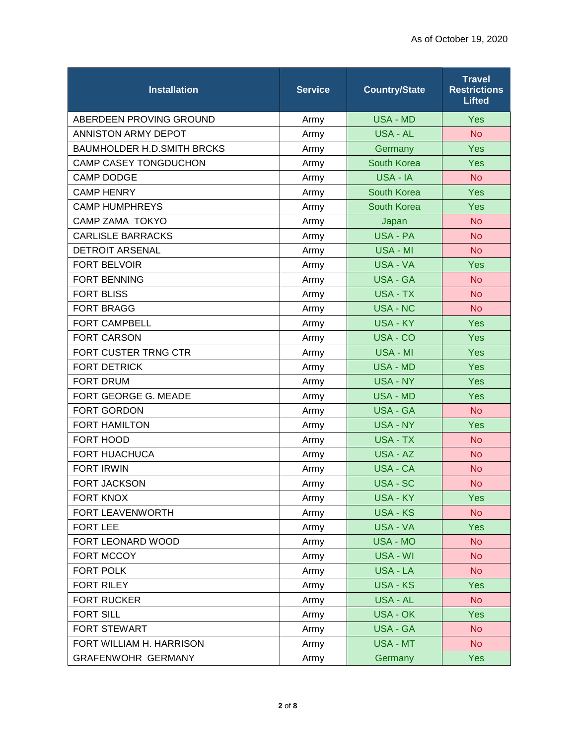| <b>Installation</b>               | Service | <b>Country/State</b> | <b>Travel</b><br><b>Restrictions</b><br><b>Lifted</b> |
|-----------------------------------|---------|----------------------|-------------------------------------------------------|
| ABERDEEN PROVING GROUND           | Army    | <b>USA - MD</b>      | Yes                                                   |
| ANNISTON ARMY DEPOT               | Army    | <b>USA - AL</b>      | <b>No</b>                                             |
| <b>BAUMHOLDER H.D.SMITH BRCKS</b> | Army    | Germany              | Yes                                                   |
| <b>CAMP CASEY TONGDUCHON</b>      | Army    | <b>South Korea</b>   | <b>Yes</b>                                            |
| <b>CAMP DODGE</b>                 | Army    | USA - IA             | <b>No</b>                                             |
| <b>CAMP HENRY</b>                 | Army    | South Korea          | Yes                                                   |
| <b>CAMP HUMPHREYS</b>             | Army    | <b>South Korea</b>   | Yes                                                   |
| <b>CAMP ZAMA TOKYO</b>            | Army    | Japan                | <b>No</b>                                             |
| <b>CARLISLE BARRACKS</b>          | Army    | <b>USA - PA</b>      | <b>No</b>                                             |
| <b>DETROIT ARSENAL</b>            | Army    | <b>USA - MI</b>      | <b>No</b>                                             |
| <b>FORT BELVOIR</b>               | Army    | <b>USA - VA</b>      | Yes                                                   |
| <b>FORT BENNING</b>               | Army    | <b>USA - GA</b>      | <b>No</b>                                             |
| <b>FORT BLISS</b>                 | Army    | USA - TX             | <b>No</b>                                             |
| <b>FORT BRAGG</b>                 | Army    | <b>USA - NC</b>      | <b>No</b>                                             |
| <b>FORT CAMPBELL</b>              | Army    | <b>USA - KY</b>      | Yes                                                   |
| <b>FORT CARSON</b>                | Army    | USA - CO             | Yes                                                   |
| FORT CUSTER TRNG CTR              | Army    | USA - MI             | Yes                                                   |
| <b>FORT DETRICK</b>               | Army    | <b>USA - MD</b>      | Yes                                                   |
| <b>FORT DRUM</b>                  | Army    | <b>USA - NY</b>      | Yes                                                   |
| FORT GEORGE G. MEADE              | Army    | <b>USA - MD</b>      | Yes                                                   |
| <b>FORT GORDON</b>                | Army    | <b>USA - GA</b>      | <b>No</b>                                             |
| <b>FORT HAMILTON</b>              | Army    | USA - NY             | Yes                                                   |
| FORT HOOD                         | Army    | <b>USA - TX</b>      | <b>No</b>                                             |
| <b>FORT HUACHUCA</b>              | Army    | USA - AZ             | <b>No</b>                                             |
| <b>FORT IRWIN</b>                 | Army    | <b>USA - CA</b>      | <b>No</b>                                             |
| <b>FORT JACKSON</b>               | Army    | USA - SC             | <b>No</b>                                             |
| <b>FORT KNOX</b>                  | Army    | <b>USA - KY</b>      | Yes                                                   |
| FORT LEAVENWORTH                  | Army    | <b>USA - KS</b>      | <b>No</b>                                             |
| <b>FORT LEE</b>                   | Army    | USA - VA             | <b>Yes</b>                                            |
| FORT LEONARD WOOD                 | Army    | <b>USA - MO</b>      | <b>No</b>                                             |
| FORT MCCOY                        | Army    | USA - WI             | <b>No</b>                                             |
| FORT POLK                         | Army    | USA - LA             | <b>No</b>                                             |
| <b>FORT RILEY</b>                 | Army    | <b>USA - KS</b>      | <b>Yes</b>                                            |
| FORT RUCKER                       | Army    | USA - AL             | <b>No</b>                                             |
| <b>FORT SILL</b>                  | Army    | <b>USA - OK</b>      | <b>Yes</b>                                            |
| <b>FORT STEWART</b>               | Army    | <b>USA - GA</b>      | <b>No</b>                                             |
| FORT WILLIAM H. HARRISON          | Army    | USA - MT             | <b>No</b>                                             |
| <b>GRAFENWOHR GERMANY</b>         | Army    | Germany              | <b>Yes</b>                                            |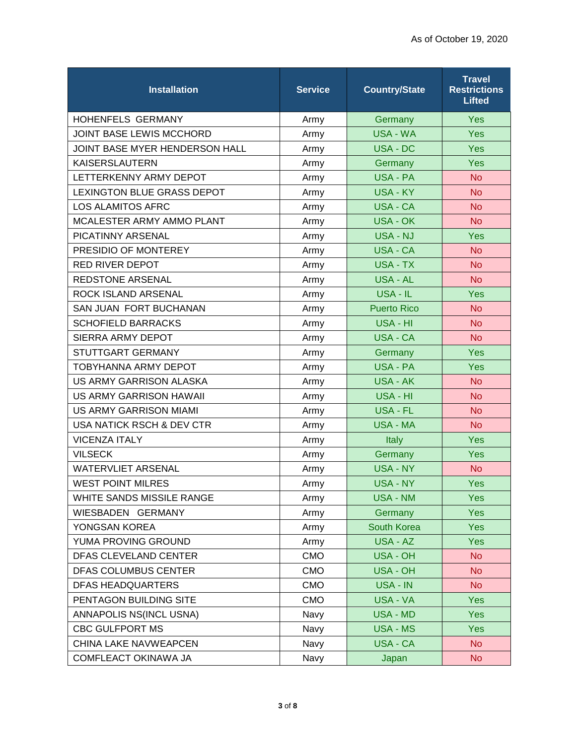| <b>Installation</b>               | <b>Service</b> | <b>Country/State</b> | <b>Travel</b><br><b>Restrictions</b><br><b>Lifted</b> |
|-----------------------------------|----------------|----------------------|-------------------------------------------------------|
| HOHENFELS GERMANY                 | Army           | Germany              | Yes                                                   |
| JOINT BASE LEWIS MCCHORD          | Army           | USA - WA             | Yes                                                   |
| JOINT BASE MYER HENDERSON HALL    | Army           | USA - DC             | <b>Yes</b>                                            |
| <b>KAISERSLAUTERN</b>             | Army           | Germany              | Yes                                                   |
| LETTERKENNY ARMY DEPOT            | Army           | <b>USA - PA</b>      | <b>No</b>                                             |
| <b>LEXINGTON BLUE GRASS DEPOT</b> | Army           | <b>USA - KY</b>      | <b>No</b>                                             |
| <b>LOS ALAMITOS AFRC</b>          | Army           | USA - CA             | <b>No</b>                                             |
| MCALESTER ARMY AMMO PLANT         | Army           | <b>USA - OK</b>      | <b>No</b>                                             |
| PICATINNY ARSENAL                 | Army           | <b>USA - NJ</b>      | Yes                                                   |
| PRESIDIO OF MONTEREY              | Army           | USA - CA             | <b>No</b>                                             |
| <b>RED RIVER DEPOT</b>            | Army           | <b>USA - TX</b>      | <b>No</b>                                             |
| REDSTONE ARSENAL                  | Army           | <b>USA - AL</b>      | <b>No</b>                                             |
| ROCK ISLAND ARSENAL               | Army           | USA - IL             | <b>Yes</b>                                            |
| SAN JUAN FORT BUCHANAN            | Army           | <b>Puerto Rico</b>   | <b>No</b>                                             |
| <b>SCHOFIELD BARRACKS</b>         | Army           | USA - HI             | <b>No</b>                                             |
| SIERRA ARMY DEPOT                 | Army           | USA - CA             | <b>No</b>                                             |
| STUTTGART GERMANY                 | Army           | Germany              | <b>Yes</b>                                            |
| <b>TOBYHANNA ARMY DEPOT</b>       | Army           | <b>USA - PA</b>      | Yes                                                   |
| US ARMY GARRISON ALASKA           | Army           | <b>USA - AK</b>      | <b>No</b>                                             |
| US ARMY GARRISON HAWAII           | Army           | USA - HI             | <b>No</b>                                             |
| <b>US ARMY GARRISON MIAMI</b>     | Army           | USA - FL             | <b>No</b>                                             |
| USA NATICK RSCH & DEV CTR         | Army           | <b>USA - MA</b>      | <b>No</b>                                             |
| <b>VICENZA ITALY</b>              | Army           | <b>Italy</b>         | Yes                                                   |
| <b>VILSECK</b>                    | Army           | Germany              | Yes                                                   |
| <b>WATERVLIET ARSENAL</b>         | Army           | USA - NY             | <b>No</b>                                             |
| <b>WEST POINT MILRES</b>          | Army           | <b>USA - NY</b>      | <b>Yes</b>                                            |
| WHITE SANDS MISSILE RANGE         | Army           | <b>USA - NM</b>      | <b>Yes</b>                                            |
| WIESBADEN GERMANY                 | Army           | Germany              | <b>Yes</b>                                            |
| YONGSAN KOREA                     | Army           | South Korea          | <b>Yes</b>                                            |
| YUMA PROVING GROUND               | Army           | USA - AZ             | <b>Yes</b>                                            |
| DFAS CLEVELAND CENTER             | <b>CMO</b>     | <b>USA - OH</b>      | <b>No</b>                                             |
| DFAS COLUMBUS CENTER              | <b>CMO</b>     | <b>USA - OH</b>      | <b>No</b>                                             |
| <b>DFAS HEADQUARTERS</b>          | <b>CMO</b>     | USA - IN             | <b>No</b>                                             |
| PENTAGON BUILDING SITE            | <b>CMO</b>     | USA - VA             | <b>Yes</b>                                            |
| ANNAPOLIS NS(INCL USNA)           | Navy           | <b>USA - MD</b>      | <b>Yes</b>                                            |
| <b>CBC GULFPORT MS</b>            | Navy           | <b>USA - MS</b>      | <b>Yes</b>                                            |
| CHINA LAKE NAVWEAPCEN             | Navy           | USA - CA             | No.                                                   |
| COMFLEACT OKINAWA JA              | Navy           | Japan                | <b>No</b>                                             |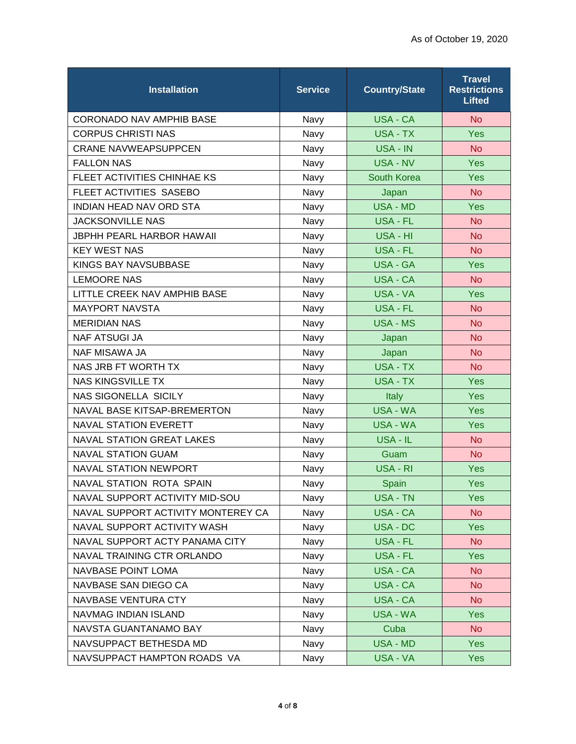| <b>Installation</b>                | <b>Service</b> | <b>Country/State</b> | <b>Travel</b><br><b>Restrictions</b><br><b>Lifted</b> |
|------------------------------------|----------------|----------------------|-------------------------------------------------------|
| CORONADO NAV AMPHIB BASE           | Navy           | <b>USA - CA</b>      | <b>No</b>                                             |
| <b>CORPUS CHRISTI NAS</b>          | Navy           | <b>USA - TX</b>      | Yes                                                   |
| <b>CRANE NAVWEAPSUPPCEN</b>        | Navy           | USA - IN             | <b>No</b>                                             |
| <b>FALLON NAS</b>                  | Navy           | <b>USA - NV</b>      | Yes                                                   |
| FLEET ACTIVITIES CHINHAE KS        | Navy           | <b>South Korea</b>   | Yes                                                   |
| FLEET ACTIVITIES SASEBO            | Navy           | Japan                | <b>No</b>                                             |
| <b>INDIAN HEAD NAV ORD STA</b>     | Navy           | <b>USA - MD</b>      | Yes                                                   |
| <b>JACKSONVILLE NAS</b>            | Navy           | <b>USA - FL</b>      | <b>No</b>                                             |
| <b>JBPHH PEARL HARBOR HAWAII</b>   | Navy           | USA - HI             | <b>No</b>                                             |
| <b>KEY WEST NAS</b>                | Navy           | USA - FL             | <b>No</b>                                             |
| KINGS BAY NAVSUBBASE               | Navy           | <b>USA - GA</b>      | Yes                                                   |
| <b>LEMOORE NAS</b>                 | Navy           | <b>USA - CA</b>      | <b>No</b>                                             |
| LITTLE CREEK NAV AMPHIB BASE       | Navy           | <b>USA - VA</b>      | Yes                                                   |
| <b>MAYPORT NAVSTA</b>              | Navy           | <b>USA - FL</b>      | <b>No</b>                                             |
| <b>MERIDIAN NAS</b>                | Navy           | <b>USA - MS</b>      | <b>No</b>                                             |
| <b>NAF ATSUGI JA</b>               | Navy           | Japan                | <b>No</b>                                             |
| <b>NAF MISAWA JA</b>               | Navy           | Japan                | <b>No</b>                                             |
| NAS JRB FT WORTH TX                | Navy           | <b>USA - TX</b>      | <b>No</b>                                             |
| <b>NAS KINGSVILLE TX</b>           | Navy           | <b>USA - TX</b>      | Yes                                                   |
| <b>NAS SIGONELLA SICILY</b>        | Navy           | <b>Italy</b>         | <b>Yes</b>                                            |
| NAVAL BASE KITSAP-BREMERTON        | Navy           | <b>USA - WA</b>      | Yes                                                   |
| <b>NAVAL STATION EVERETT</b>       | Navy           | USA - WA             | Yes                                                   |
| <b>NAVAL STATION GREAT LAKES</b>   | Navy           | USA - IL             | <b>No</b>                                             |
| <b>NAVAL STATION GUAM</b>          | Navy           | Guam                 | <b>No</b>                                             |
| <b>NAVAL STATION NEWPORT</b>       | Navy           | USA - RI             | Yes                                                   |
| NAVAL STATION ROTA SPAIN           | Navy           | Spain                | Yes                                                   |
| NAVAL SUPPORT ACTIVITY MID-SOU     | Navy           | <b>USA - TN</b>      | <b>Yes</b>                                            |
| NAVAL SUPPORT ACTIVITY MONTEREY CA | Navy           | USA - CA             | <b>No</b>                                             |
| NAVAL SUPPORT ACTIVITY WASH        | Navy           | USA - DC             | <b>Yes</b>                                            |
| NAVAL SUPPORT ACTY PANAMA CITY     | Navy           | USA - FL             | <b>No</b>                                             |
| NAVAL TRAINING CTR ORLANDO         | Navy           | <b>USA - FL</b>      | Yes                                                   |
| NAVBASE POINT LOMA                 | Navy           | USA - CA             | <b>No</b>                                             |
| NAVBASE SAN DIEGO CA               | Navy           | USA - CA             | <b>No</b>                                             |
| NAVBASE VENTURA CTY                | Navy           | USA - CA             | <b>No</b>                                             |
| NAVMAG INDIAN ISLAND               | Navy           | USA - WA             | <b>Yes</b>                                            |
| NAVSTA GUANTANAMO BAY              | Navy           | Cuba                 | <b>No</b>                                             |
| NAVSUPPACT BETHESDA MD             | Navy           | <b>USA - MD</b>      | Yes                                                   |
| NAVSUPPACT HAMPTON ROADS VA        | Navy           | USA - VA             | <b>Yes</b>                                            |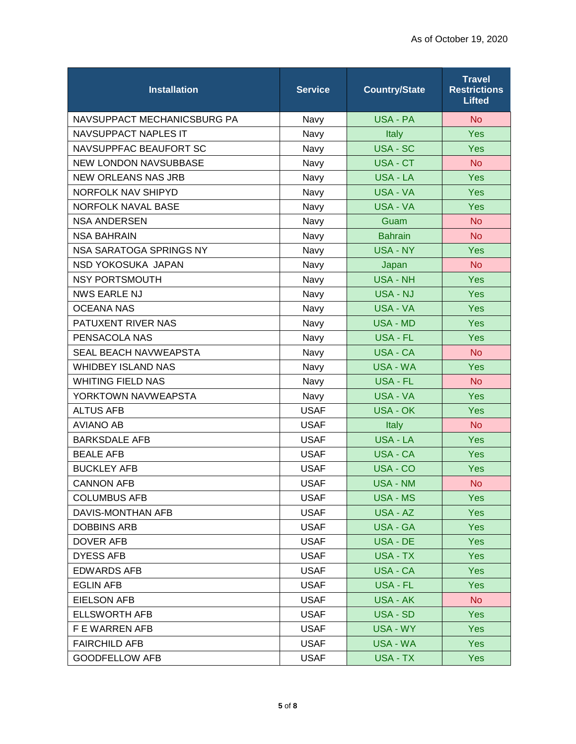| <b>Installation</b>          | <b>Service</b> | <b>Country/State</b> | <b>Travel</b><br><b>Restrictions</b><br><b>Lifted</b> |
|------------------------------|----------------|----------------------|-------------------------------------------------------|
| NAVSUPPACT MECHANICSBURG PA  | Navy           | USA - PA             | <b>No</b>                                             |
| <b>NAVSUPPACT NAPLES IT</b>  | Navy           | Italy                | Yes                                                   |
| NAVSUPPFAC BEAUFORT SC       | Navy           | <b>USA - SC</b>      | <b>Yes</b>                                            |
| <b>NEW LONDON NAVSUBBASE</b> | Navy           | USA - CT             | <b>No</b>                                             |
| <b>NEW ORLEANS NAS JRB</b>   | Navy           | <b>USA - LA</b>      | <b>Yes</b>                                            |
| NORFOLK NAV SHIPYD           | Navy           | <b>USA - VA</b>      | <b>Yes</b>                                            |
| NORFOLK NAVAL BASE           | Navy           | USA - VA             | Yes                                                   |
| <b>NSA ANDERSEN</b>          | Navy           | Guam                 | <b>No</b>                                             |
| <b>NSA BAHRAIN</b>           | Navy           | <b>Bahrain</b>       | <b>No</b>                                             |
| NSA SARATOGA SPRINGS NY      | Navy           | USA - NY             | Yes                                                   |
| NSD YOKOSUKA JAPAN           | Navy           | Japan                | <b>No</b>                                             |
| <b>NSY PORTSMOUTH</b>        | Navy           | <b>USA - NH</b>      | Yes                                                   |
| <b>NWS EARLE NJ</b>          | Navy           | <b>USA - NJ</b>      | <b>Yes</b>                                            |
| <b>OCEANA NAS</b>            | Navy           | USA - VA             | Yes                                                   |
| PATUXENT RIVER NAS           | Navy           | <b>USA - MD</b>      | <b>Yes</b>                                            |
| PENSACOLA NAS                | Navy           | USA - FL             | Yes                                                   |
| <b>SEAL BEACH NAVWEAPSTA</b> | Navy           | <b>USA - CA</b>      | <b>No</b>                                             |
| <b>WHIDBEY ISLAND NAS</b>    | Navy           | <b>USA - WA</b>      | Yes                                                   |
| <b>WHITING FIELD NAS</b>     | Navy           | <b>USA - FL</b>      | <b>No</b>                                             |
| YORKTOWN NAVWEAPSTA          | Navy           | USA - VA             | Yes                                                   |
| <b>ALTUS AFB</b>             | <b>USAF</b>    | <b>USA - OK</b>      | Yes                                                   |
| <b>AVIANO AB</b>             | <b>USAF</b>    | <b>Italy</b>         | <b>No</b>                                             |
| <b>BARKSDALE AFB</b>         | <b>USAF</b>    | <b>USA - LA</b>      | <b>Yes</b>                                            |
| <b>BEALE AFB</b>             | <b>USAF</b>    | <b>USA - CA</b>      | <b>Yes</b>                                            |
| <b>BUCKLEY AFB</b>           | <b>USAF</b>    | USA - CO             | <b>Yes</b>                                            |
| <b>CANNON AFB</b>            | <b>USAF</b>    | <b>USA - NM</b>      | <b>No</b>                                             |
| <b>COLUMBUS AFB</b>          | <b>USAF</b>    | USA - MS             | <b>Yes</b>                                            |
| DAVIS-MONTHAN AFB            | <b>USAF</b>    | USA - AZ             | <b>Yes</b>                                            |
| <b>DOBBINS ARB</b>           | <b>USAF</b>    | <b>USA - GA</b>      | <b>Yes</b>                                            |
| <b>DOVER AFB</b>             | <b>USAF</b>    | USA - DE             | <b>Yes</b>                                            |
| <b>DYESS AFB</b>             | <b>USAF</b>    | USA - TX             | <b>Yes</b>                                            |
| <b>EDWARDS AFB</b>           | <b>USAF</b>    | USA - CA             | Yes                                                   |
| <b>EGLIN AFB</b>             | <b>USAF</b>    | USA - FL             | <b>Yes</b>                                            |
| <b>EIELSON AFB</b>           | <b>USAF</b>    | USA - AK             | No                                                    |
| <b>ELLSWORTH AFB</b>         | <b>USAF</b>    | USA - SD             | <b>Yes</b>                                            |
| F E WARREN AFB               | <b>USAF</b>    | <b>USA - WY</b>      | <b>Yes</b>                                            |
| <b>FAIRCHILD AFB</b>         | <b>USAF</b>    | USA - WA             | Yes                                                   |
| <b>GOODFELLOW AFB</b>        | <b>USAF</b>    | USA - TX             | <b>Yes</b>                                            |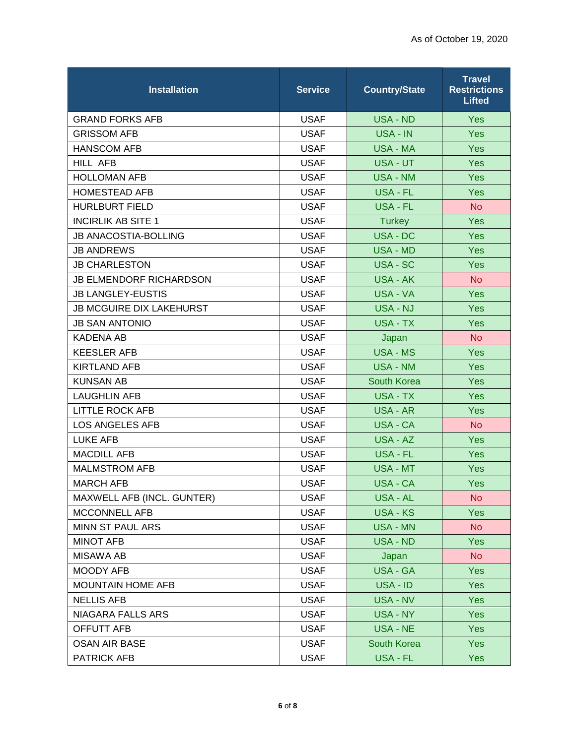| <b>Installation</b>             | <b>Service</b> | <b>Country/State</b> | <b>Travel</b><br><b>Restrictions</b><br><b>Lifted</b> |
|---------------------------------|----------------|----------------------|-------------------------------------------------------|
| <b>GRAND FORKS AFB</b>          | <b>USAF</b>    | <b>USA - ND</b>      | <b>Yes</b>                                            |
| <b>GRISSOM AFB</b>              | <b>USAF</b>    | USA - IN             | <b>Yes</b>                                            |
| <b>HANSCOM AFB</b>              | <b>USAF</b>    | USA - MA             | <b>Yes</b>                                            |
| <b>HILL AFB</b>                 | <b>USAF</b>    | USA - UT             | Yes                                                   |
| <b>HOLLOMAN AFB</b>             | <b>USAF</b>    | <b>USA - NM</b>      | Yes                                                   |
| <b>HOMESTEAD AFB</b>            | <b>USAF</b>    | <b>USA - FL</b>      | Yes                                                   |
| <b>HURLBURT FIELD</b>           | <b>USAF</b>    | <b>USA - FL</b>      | <b>No</b>                                             |
| <b>INCIRLIK AB SITE 1</b>       | <b>USAF</b>    | <b>Turkey</b>        | <b>Yes</b>                                            |
| <b>JB ANACOSTIA-BOLLING</b>     | <b>USAF</b>    | <b>USA - DC</b>      | Yes                                                   |
| <b>JB ANDREWS</b>               | <b>USAF</b>    | USA - MD             | <b>Yes</b>                                            |
| <b>JB CHARLESTON</b>            | <b>USAF</b>    | USA - SC             | <b>Yes</b>                                            |
| <b>JB ELMENDORF RICHARDSON</b>  | <b>USAF</b>    | <b>USA - AK</b>      | <b>No</b>                                             |
| <b>JB LANGLEY-EUSTIS</b>        | <b>USAF</b>    | USA - VA             | <b>Yes</b>                                            |
| <b>JB MCGUIRE DIX LAKEHURST</b> | <b>USAF</b>    | <b>USA - NJ</b>      | <b>Yes</b>                                            |
| <b>JB SAN ANTONIO</b>           | <b>USAF</b>    | <b>USA - TX</b>      | <b>Yes</b>                                            |
| <b>KADENA AB</b>                | <b>USAF</b>    | Japan                | <b>No</b>                                             |
| <b>KEESLER AFB</b>              | <b>USAF</b>    | <b>USA - MS</b>      | <b>Yes</b>                                            |
| <b>KIRTLAND AFB</b>             | <b>USAF</b>    | <b>USA - NM</b>      | <b>Yes</b>                                            |
| <b>KUNSAN AB</b>                | <b>USAF</b>    | South Korea          | Yes                                                   |
| <b>LAUGHLIN AFB</b>             | <b>USAF</b>    | USA - TX             | <b>Yes</b>                                            |
| <b>LITTLE ROCK AFB</b>          | <b>USAF</b>    | <b>USA - AR</b>      | Yes                                                   |
| <b>LOS ANGELES AFB</b>          | <b>USAF</b>    | USA - CA             | <b>No</b>                                             |
| <b>LUKE AFB</b>                 | <b>USAF</b>    | USA - AZ             | Yes                                                   |
| <b>MACDILL AFB</b>              | <b>USAF</b>    | <b>USA - FL</b>      | Yes                                                   |
| <b>MALMSTROM AFB</b>            | <b>USAF</b>    | USA - MT             | <b>Yes</b>                                            |
| <b>MARCH AFB</b>                | <b>USAF</b>    | USA - CA             | <b>Yes</b>                                            |
| MAXWELL AFB (INCL. GUNTER)      | <b>USAF</b>    | USA - AL             | N <sub>o</sub>                                        |
| MCCONNELL AFB                   | <b>USAF</b>    | USA - KS             | <b>Yes</b>                                            |
| MINN ST PAUL ARS                | <b>USAF</b>    | <b>USA - MN</b>      | <b>No</b>                                             |
| <b>MINOT AFB</b>                | <b>USAF</b>    | USA - ND             | <b>Yes</b>                                            |
| <b>MISAWA AB</b>                | <b>USAF</b>    | Japan                | <b>No</b>                                             |
| MOODY AFB                       | <b>USAF</b>    | USA - GA             | Yes                                                   |
| <b>MOUNTAIN HOME AFB</b>        | <b>USAF</b>    | USA - ID             | <b>Yes</b>                                            |
| <b>NELLIS AFB</b>               | <b>USAF</b>    | USA - NV             | <b>Yes</b>                                            |
| NIAGARA FALLS ARS               | <b>USAF</b>    | USA - NY             | <b>Yes</b>                                            |
| OFFUTT AFB                      | <b>USAF</b>    | USA - NE             | <b>Yes</b>                                            |
| <b>OSAN AIR BASE</b>            | <b>USAF</b>    | South Korea          | <b>Yes</b>                                            |
| <b>PATRICK AFB</b>              | <b>USAF</b>    | USA - FL             | <b>Yes</b>                                            |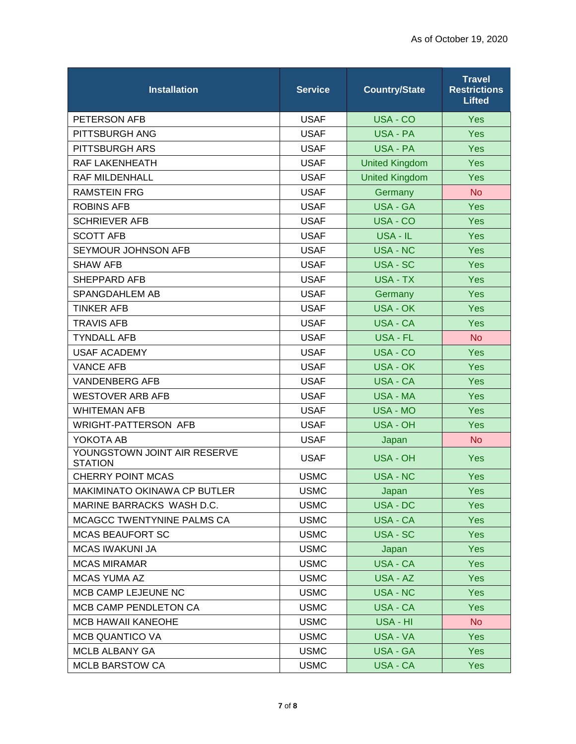| <b>Installation</b>                            | <b>Service</b> | <b>Country/State</b>  | <b>Travel</b><br><b>Restrictions</b><br><b>Lifted</b> |
|------------------------------------------------|----------------|-----------------------|-------------------------------------------------------|
| PETERSON AFB                                   | <b>USAF</b>    | USA - CO              | <b>Yes</b>                                            |
| PITTSBURGH ANG                                 | <b>USAF</b>    | USA - PA              | Yes                                                   |
| PITTSBURGH ARS                                 | <b>USAF</b>    | <b>USA - PA</b>       | <b>Yes</b>                                            |
| <b>RAF LAKENHEATH</b>                          | <b>USAF</b>    | <b>United Kingdom</b> | Yes                                                   |
| <b>RAF MILDENHALL</b>                          | <b>USAF</b>    | <b>United Kingdom</b> | <b>Yes</b>                                            |
| <b>RAMSTEIN FRG</b>                            | <b>USAF</b>    | Germany               | <b>No</b>                                             |
| <b>ROBINS AFB</b>                              | <b>USAF</b>    | <b>USA - GA</b>       | <b>Yes</b>                                            |
| <b>SCHRIEVER AFB</b>                           | <b>USAF</b>    | USA - CO              | <b>Yes</b>                                            |
| <b>SCOTT AFB</b>                               | <b>USAF</b>    | USA - IL              | <b>Yes</b>                                            |
| SEYMOUR JOHNSON AFB                            | <b>USAF</b>    | <b>USA - NC</b>       | <b>Yes</b>                                            |
| <b>SHAW AFB</b>                                | <b>USAF</b>    | USA - SC              | <b>Yes</b>                                            |
| <b>SHEPPARD AFB</b>                            | <b>USAF</b>    | <b>USA - TX</b>       | <b>Yes</b>                                            |
| SPANGDAHLEM AB                                 | <b>USAF</b>    | Germany               | <b>Yes</b>                                            |
| <b>TINKER AFB</b>                              | <b>USAF</b>    | <b>USA - OK</b>       | <b>Yes</b>                                            |
| <b>TRAVIS AFB</b>                              | <b>USAF</b>    | <b>USA - CA</b>       | <b>Yes</b>                                            |
| <b>TYNDALL AFB</b>                             | <b>USAF</b>    | <b>USA - FL</b>       | <b>No</b>                                             |
| <b>USAF ACADEMY</b>                            | <b>USAF</b>    | USA - CO              | <b>Yes</b>                                            |
| <b>VANCE AFB</b>                               | <b>USAF</b>    | <b>USA - OK</b>       | <b>Yes</b>                                            |
| <b>VANDENBERG AFB</b>                          | <b>USAF</b>    | <b>USA - CA</b>       | <b>Yes</b>                                            |
| <b>WESTOVER ARB AFB</b>                        | <b>USAF</b>    | <b>USA - MA</b>       | <b>Yes</b>                                            |
| <b>WHITEMAN AFB</b>                            | <b>USAF</b>    | <b>USA - MO</b>       | Yes                                                   |
| <b>WRIGHT-PATTERSON AFB</b>                    | <b>USAF</b>    | <b>USA - OH</b>       | <b>Yes</b>                                            |
| YOKOTA AB                                      | <b>USAF</b>    | Japan                 | <b>No</b>                                             |
| YOUNGSTOWN JOINT AIR RESERVE<br><b>STATION</b> | <b>USAF</b>    | USA - OH              | <b>Yes</b>                                            |
| CHERRY POINT MCAS                              | <b>USMC</b>    | <b>USA - NC</b>       | Yes                                                   |
| MAKIMINATO OKINAWA CP BUTLER                   | <b>USMC</b>    | Japan                 | Yes                                                   |
| MARINE BARRACKS WASH D.C.                      | <b>USMC</b>    | USA - DC              | <b>Yes</b>                                            |
| MCAGCC TWENTYNINE PALMS CA                     | <b>USMC</b>    | USA - CA              | Yes                                                   |
| <b>MCAS BEAUFORT SC</b>                        | <b>USMC</b>    | USA - SC              | <b>Yes</b>                                            |
| <b>MCAS IWAKUNI JA</b>                         | <b>USMC</b>    | Japan                 | <b>Yes</b>                                            |
| <b>MCAS MIRAMAR</b>                            | <b>USMC</b>    | USA - CA              | <b>Yes</b>                                            |
| <b>MCAS YUMA AZ</b>                            | <b>USMC</b>    | USA - AZ              | <b>Yes</b>                                            |
| MCB CAMP LEJEUNE NC                            | <b>USMC</b>    | <b>USA - NC</b>       | Yes                                                   |
| MCB CAMP PENDLETON CA                          | <b>USMC</b>    | USA - CA              | <b>Yes</b>                                            |
| <b>MCB HAWAII KANEOHE</b>                      | <b>USMC</b>    | USA - HI              | No                                                    |
| <b>MCB QUANTICO VA</b>                         | <b>USMC</b>    | USA - VA              | <b>Yes</b>                                            |
| MCLB ALBANY GA                                 | <b>USMC</b>    | <b>USA - GA</b>       | <b>Yes</b>                                            |
| <b>MCLB BARSTOW CA</b>                         | <b>USMC</b>    | USA - CA              | <b>Yes</b>                                            |